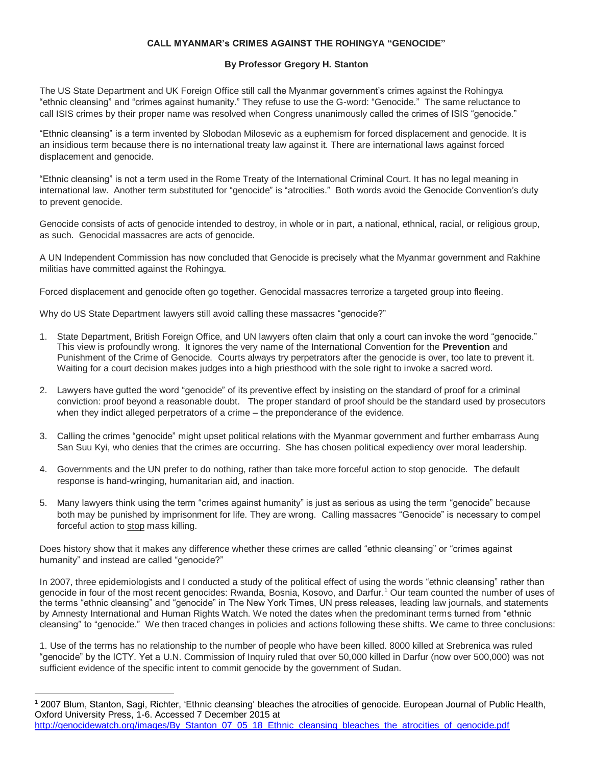## **CALL MYANMAR's CRIMES AGAINST THE ROHINGYA "GENOCIDE"**

## **By Professor Gregory H. Stanton**

The US State Department and UK Foreign Office still call the Myanmar government's crimes against the Rohingya "ethnic cleansing" and "crimes against humanity." They refuse to use the G-word: "Genocide." The same reluctance to call ISIS crimes by their proper name was resolved when Congress unanimously called the crimes of ISIS "genocide."

"Ethnic cleansing" is a term invented by Slobodan Milosevic as a euphemism for forced displacement and genocide. It is an insidious term because there is no international treaty law against it. There are international laws against forced displacement and genocide.

"Ethnic cleansing" is not a term used in the Rome Treaty of the International Criminal Court. It has no legal meaning in international law. Another term substituted for "genocide" is "atrocities." Both words avoid the Genocide Convention's duty to prevent genocide.

Genocide consists of acts of genocide intended to destroy, in whole or in part, a national, ethnical, racial, or religious group, as such. Genocidal massacres are acts of genocide.

A UN Independent Commission has now concluded that Genocide is precisely what the Myanmar government and Rakhine militias have committed against the Rohingya.

Forced displacement and genocide often go together. Genocidal massacres terrorize a targeted group into fleeing.

Why do US State Department lawyers still avoid calling these massacres "genocide?"

 $\overline{\phantom{a}}$ 

- 1. State Department, British Foreign Office, and UN lawyers often claim that only a court can invoke the word "genocide." This view is profoundly wrong. It ignores the very name of the International Convention for the **Prevention** and Punishment of the Crime of Genocide. Courts always try perpetrators after the genocide is over, too late to prevent it. Waiting for a court decision makes judges into a high priesthood with the sole right to invoke a sacred word.
- 2. Lawyers have gutted the word "genocide" of its preventive effect by insisting on the standard of proof for a criminal conviction: proof beyond a reasonable doubt. The proper standard of proof should be the standard used by prosecutors when they indict alleged perpetrators of a crime – the preponderance of the evidence.
- 3. Calling the crimes "genocide" might upset political relations with the Myanmar government and further embarrass Aung San Suu Kyi, who denies that the crimes are occurring. She has chosen political expediency over moral leadership.
- 4. Governments and the UN prefer to do nothing, rather than take more forceful action to stop genocide. The default response is hand-wringing, humanitarian aid, and inaction.
- 5. Many lawyers think using the term "crimes against humanity" is just as serious as using the term "genocide" because both may be punished by imprisonment for life. They are wrong. Calling massacres "Genocide" is necessary to compel forceful action to stop mass killing.

Does history show that it makes any difference whether these crimes are called "ethnic cleansing" or "crimes against humanity" and instead are called "genocide?"

In 2007, three epidemiologists and I conducted a study of the political effect of using the words "ethnic cleansing" rather than genocide in four of the most recent genocides: Rwanda, Bosnia, Kosovo, and Darfur.<sup>1</sup> Our team counted the number of uses of the terms "ethnic cleansing" and "genocide" in The New York Times, UN press releases, leading law journals, and statements by Amnesty International and Human Rights Watch. We noted the dates when the predominant terms turned from "ethnic cleansing" to "genocide." We then traced changes in policies and actions following these shifts. We came to three conclusions:

1. Use of the terms has no relationship to the number of people who have been killed. 8000 killed at Srebrenica was ruled "genocide" by the ICTY. Yet a U.N. Commission of Inquiry ruled that over 50,000 killed in Darfur (now over 500,000) was not sufficient evidence of the specific intent to commit genocide by the government of Sudan.

<sup>1</sup> 2007 Blum, Stanton, Sagi, Richter, 'Ethnic cleansing' bleaches the atrocities of genocide. European Journal of Public Health, Oxford University Press, 1-6. Accessed 7 December 2015 at [http://genocidewatch.org/images/By\\_Stanton\\_07\\_05\\_18\\_Ethnic\\_cleansing\\_bleaches\\_the\\_atrocities\\_of\\_genocide.pdf](http://genocidewatch.org/images/By_Stanton_07_05_18_Ethnic_cleansing_bleaches_the_atrocities_of_genocide.pdf)